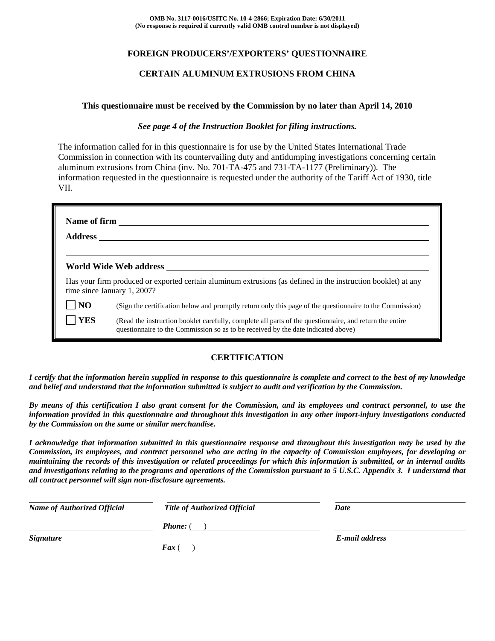# **FOREIGN PRODUCERS'/EXPORTERS' QUESTIONNAIRE**

## **CERTAIN ALUMINUM EXTRUSIONS FROM CHINA**

### **This questionnaire must be received by the Commission by no later than April 14, 2010**

### *See page 4 of the Instruction Booklet for filing instructions.*

The information called for in this questionnaire is for use by the United States International Trade Commission in connection with its countervailing duty and antidumping investigations concerning certain aluminum extrusions from China (inv. No. 701-TA-475 and 731-TA-1177 (Preliminary)). The information requested in the questionnaire is requested under the authority of the Tariff Act of 1930, title VII.

| Name of firm<br><b>Address</b> |                                                                                                                                                                                              |
|--------------------------------|----------------------------------------------------------------------------------------------------------------------------------------------------------------------------------------------|
|                                | World Wide Web address                                                                                                                                                                       |
|                                | Has your firm produced or exported certain aluminum extrusions (as defined in the instruction booklet) at any<br>time since January 1, 2007?                                                 |
| $\overline{N}$                 | (Sign the certification below and promptly return only this page of the questionnaire to the Commission)                                                                                     |
| <b>YES</b>                     | (Read the instruction booklet carefully, complete all parts of the questionnaire, and return the entire<br>questionnaire to the Commission so as to be received by the date indicated above) |

## **CERTIFICATION**

*I certify that the information herein supplied in response to this questionnaire is complete and correct to the best of my knowledge and belief and understand that the information submitted is subject to audit and verification by the Commission.* 

*By means of this certification I also grant consent for the Commission, and its employees and contract personnel, to use the information provided in this questionnaire and throughout this investigation in any other import-injury investigations conducted by the Commission on the same or similar merchandise.* 

*I acknowledge that information submitted in this questionnaire response and throughout this investigation may be used by the Commission, its employees, and contract personnel who are acting in the capacity of Commission employees, for developing or maintaining the records of this investigation or related proceedings for which this information is submitted, or in internal audits and investigations relating to the programs and operations of the Commission pursuant to 5 U.S.C. Appendix 3. I understand that all contract personnel will sign non-disclosure agreements.* 

| <b>Name of Authorized Official</b> | <b>Title of Authorized Official</b> | Date           |
|------------------------------------|-------------------------------------|----------------|
|                                    | <b>Phone:</b> (                     |                |
| <b>Signature</b>                   |                                     | E-mail address |
|                                    | <b>Fax</b> (                        |                |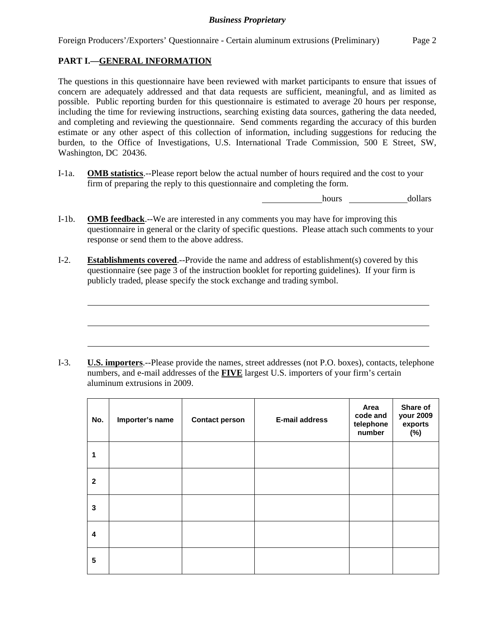Foreign Producers'/Exporters' Questionnaire - Certain aluminum extrusions (Preliminary) Page 2

# **PART I.—GENERAL INFORMATION**

l

l

l

The questions in this questionnaire have been reviewed with market participants to ensure that issues of concern are adequately addressed and that data requests are sufficient, meaningful, and as limited as possible. Public reporting burden for this questionnaire is estimated to average 20 hours per response, including the time for reviewing instructions, searching existing data sources, gathering the data needed, and completing and reviewing the questionnaire. Send comments regarding the accuracy of this burden estimate or any other aspect of this collection of information, including suggestions for reducing the burden, to the Office of Investigations, U.S. International Trade Commission, 500 E Street, SW, Washington, DC 20436.

I-1a. **OMB statistics**.--Please report below the actual number of hours required and the cost to your firm of preparing the reply to this questionnaire and completing the form.

hours dollars

- I-1b. **OMB feedback**.--We are interested in any comments you may have for improving this questionnaire in general or the clarity of specific questions. Please attach such comments to your response or send them to the above address.
- I-2. **Establishments covered**.--Provide the name and address of establishment(s) covered by this questionnaire (see page 3 of the instruction booklet for reporting guidelines). If your firm is publicly traded, please specify the stock exchange and trading symbol.

I-3. **U.S. importers**.--Please provide the names, street addresses (not P.O. boxes), contacts, telephone numbers, and e-mail addresses of the **FIVE** largest U.S. importers of your firm's certain aluminum extrusions in 2009.

| No.          | Importer's name | <b>Contact person</b> | <b>E-mail address</b> | Area<br>code and<br>telephone<br>number | Share of<br>your 2009<br>exports<br>$(\%)$ |
|--------------|-----------------|-----------------------|-----------------------|-----------------------------------------|--------------------------------------------|
| 1            |                 |                       |                       |                                         |                                            |
| $\mathbf{2}$ |                 |                       |                       |                                         |                                            |
| 3            |                 |                       |                       |                                         |                                            |
| 4            |                 |                       |                       |                                         |                                            |
| 5            |                 |                       |                       |                                         |                                            |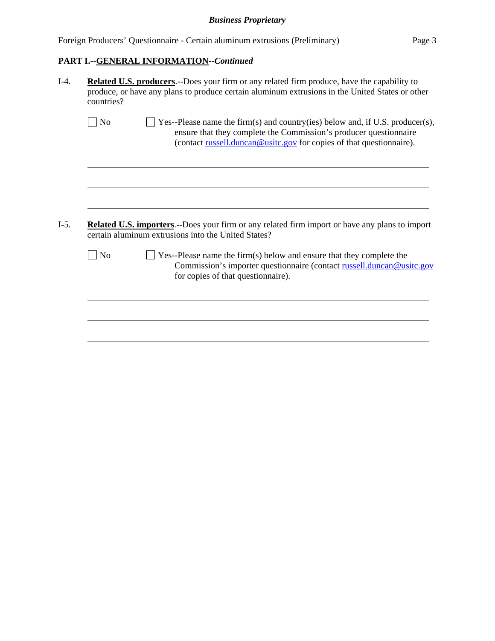|  |  | Foreign Producers' Questionnaire - Certain aluminum extrusions (Preliminary) | Page 3 |
|--|--|------------------------------------------------------------------------------|--------|
|--|--|------------------------------------------------------------------------------|--------|

# **PART I.--GENERAL INFORMATION***--Continued*

| <b>Related U.S. producers.</b> --Does your firm or any related firm produce, have the capability to<br>produce, or have any plans to produce certain aluminum extrusions in the United States or other<br>countries? |                                                                                                                                                                                                                            |  |  |  |
|----------------------------------------------------------------------------------------------------------------------------------------------------------------------------------------------------------------------|----------------------------------------------------------------------------------------------------------------------------------------------------------------------------------------------------------------------------|--|--|--|
| $\overline{N}$                                                                                                                                                                                                       | Yes--Please name the firm(s) and country(ies) below and, if U.S. producer(s),<br>ensure that they complete the Commission's producer questionnaire<br>(contact russell.duncan@usitc.gov for copies of that questionnaire). |  |  |  |
|                                                                                                                                                                                                                      |                                                                                                                                                                                                                            |  |  |  |
|                                                                                                                                                                                                                      |                                                                                                                                                                                                                            |  |  |  |
|                                                                                                                                                                                                                      | certain aluminum extrusions into the United States?                                                                                                                                                                        |  |  |  |
| $\log$                                                                                                                                                                                                               | Yes--Please name the firm(s) below and ensure that they complete the<br>for copies of that questionnaire).                                                                                                                 |  |  |  |
|                                                                                                                                                                                                                      | Related U.S. importers.--Does your firm or any related firm import or have any plans to import                                                                                                                             |  |  |  |
|                                                                                                                                                                                                                      | Commission's importer questionnaire (contact russell.duncan@usitc.gov                                                                                                                                                      |  |  |  |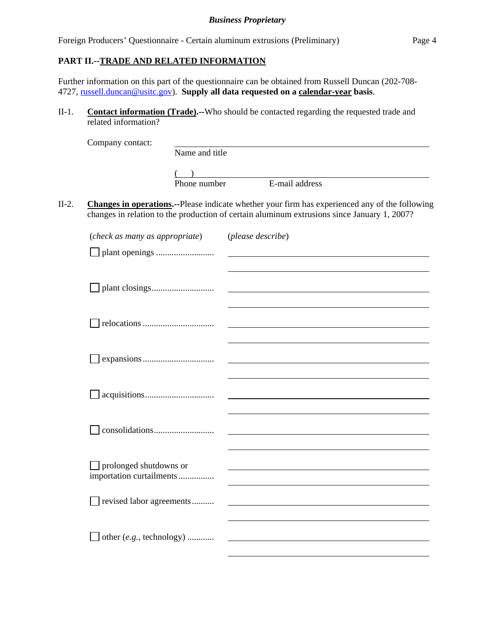Foreign Producers' Questionnaire - Certain aluminum extrusions (Preliminary) Page 4

### **PART II.--TRADE AND RELATED INFORMATION**

Further information on this part of the questionnaire can be obtained from Russell Duncan (202-708- 4727, russell.duncan@usitc.gov). **Supply all data requested on a calendar-year basis**.

II-1. **Contact information (Trade).--**Who should be contacted regarding the requested trade and related information?

| Company contact: |                |                |  |
|------------------|----------------|----------------|--|
|                  | Name and title |                |  |
|                  |                |                |  |
|                  |                |                |  |
|                  | Phone number   | E-mail address |  |
|                  |                |                |  |

II-2. **Changes in operations.--**Please indicate whether your firm has experienced any of the following changes in relation to the production of certain aluminum extrusions since January 1, 2007?

| (check as many as appropriate)         | (please describe) |
|----------------------------------------|-------------------|
|                                        |                   |
|                                        |                   |
|                                        |                   |
|                                        |                   |
|                                        |                   |
|                                        |                   |
|                                        |                   |
|                                        |                   |
|                                        |                   |
|                                        |                   |
|                                        |                   |
|                                        |                   |
|                                        |                   |
|                                        |                   |
| prolonged shutdowns or<br>$\mathsf{L}$ |                   |
| importation curtailments               |                   |
|                                        |                   |
| revised labor agreements               |                   |
|                                        |                   |
| other (e.g., technology)               |                   |
|                                        |                   |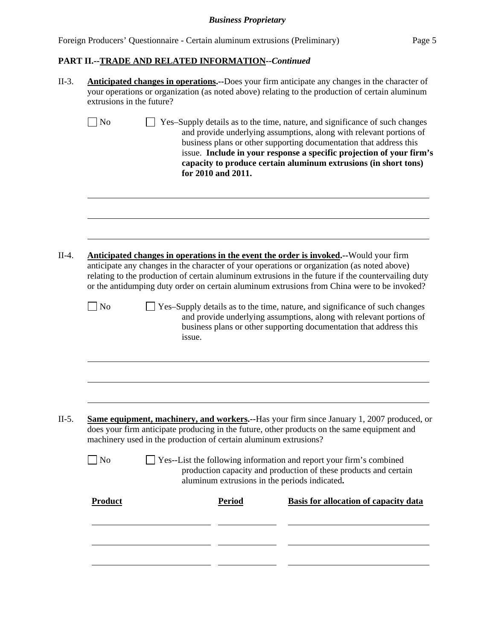|  | Foreign Producers' Questionnaire - Certain aluminum extrusions (Preliminary) | Page 5 |
|--|------------------------------------------------------------------------------|--------|
|  |                                                                              |        |

# **PART II.--TRADE AND RELATED INFORMATION***--Continued*

| <b>Anticipated changes in operations.</b> --Does your firm anticipate any changes in the character of<br>your operations or organization (as noted above) relating to the production of certain aluminum<br>extrusions in the future?                                                                                                                                                     |        |               |                                                                                                                                                                                                                                                                                                                                                                     |  |
|-------------------------------------------------------------------------------------------------------------------------------------------------------------------------------------------------------------------------------------------------------------------------------------------------------------------------------------------------------------------------------------------|--------|---------------|---------------------------------------------------------------------------------------------------------------------------------------------------------------------------------------------------------------------------------------------------------------------------------------------------------------------------------------------------------------------|--|
| $\vert$ No                                                                                                                                                                                                                                                                                                                                                                                |        |               | Yes-Supply details as to the time, nature, and significance of such changes<br>and provide underlying assumptions, along with relevant portions of<br>business plans or other supporting documentation that address this<br>issue. Include in your response a specific projection of your firm's<br>capacity to produce certain aluminum extrusions (in short tons) |  |
|                                                                                                                                                                                                                                                                                                                                                                                           |        |               |                                                                                                                                                                                                                                                                                                                                                                     |  |
| Anticipated changes in operations in the event the order is invoked.--Would your firm<br>anticipate any changes in the character of your operations or organization (as noted above)<br>relating to the production of certain aluminum extrusions in the future if the countervailing duty<br>or the antidumping duty order on certain aluminum extrusions from China were to be invoked? |        |               |                                                                                                                                                                                                                                                                                                                                                                     |  |
| $\Box$ No                                                                                                                                                                                                                                                                                                                                                                                 | issue. |               | Yes-Supply details as to the time, nature, and significance of such changes<br>and provide underlying assumptions, along with relevant portions of<br>business plans or other supporting documentation that address this                                                                                                                                            |  |
|                                                                                                                                                                                                                                                                                                                                                                                           |        |               |                                                                                                                                                                                                                                                                                                                                                                     |  |
|                                                                                                                                                                                                                                                                                                                                                                                           |        |               |                                                                                                                                                                                                                                                                                                                                                                     |  |
| N <sub>o</sub>                                                                                                                                                                                                                                                                                                                                                                            |        |               | Yes--List the following information and report your firm's combined<br>production capacity and production of these products and certain                                                                                                                                                                                                                             |  |
| <b>Product</b>                                                                                                                                                                                                                                                                                                                                                                            |        | <b>Period</b> | Basis for allocation of capacity data                                                                                                                                                                                                                                                                                                                               |  |
|                                                                                                                                                                                                                                                                                                                                                                                           |        |               |                                                                                                                                                                                                                                                                                                                                                                     |  |
|                                                                                                                                                                                                                                                                                                                                                                                           |        |               | for 2010 and 2011.<br><b>Same equipment, machinery, and workers.</b> --Has your firm since January 1, 2007 produced, or<br>does your firm anticipate producing in the future, other products on the same equipment and<br>machinery used in the production of certain aluminum extrusions?<br>aluminum extrusions in the periods indicated.                         |  |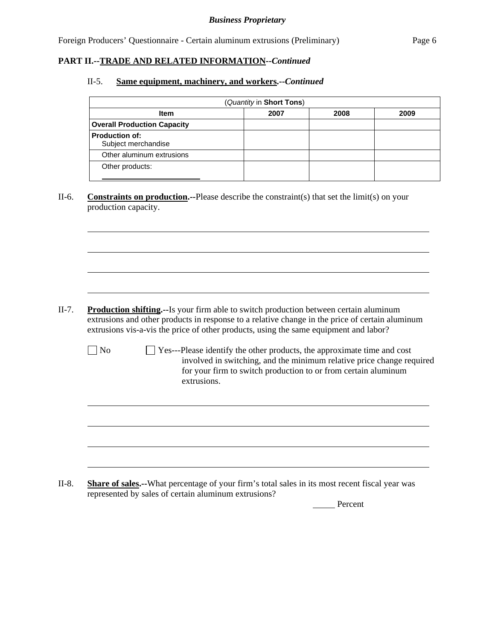Foreign Producers' Questionnaire - Certain aluminum extrusions (Preliminary) Page 6

### **PART II.--TRADE AND RELATED INFORMATION***--Continued*

 $\overline{a}$ 

 $\overline{a}$ 

### II-5. **Same equipment, machinery, and workers.--***Continued*

| (Quantity in Short Tons)                     |  |  |  |  |  |  |
|----------------------------------------------|--|--|--|--|--|--|
| <b>Item</b><br>2007<br>2008<br>2009          |  |  |  |  |  |  |
| <b>Overall Production Capacity</b>           |  |  |  |  |  |  |
| <b>Production of:</b><br>Subject merchandise |  |  |  |  |  |  |
| Other aluminum extrusions                    |  |  |  |  |  |  |
| Other products:                              |  |  |  |  |  |  |

II-6. **Constraints on production.--**Please describe the constraint(s) that set the limit(s) on your production capacity.

- II-7. **Production shifting.--**Is your firm able to switch production between certain aluminum extrusions and other products in response to a relative change in the price of certain aluminum extrusions vis-a-vis the price of other products, using the same equipment and labor?
	- $\Box$  No  $\Box$  Yes---Please identify the other products, the approximate time and cost involved in switching, and the minimum relative price change required for your firm to switch production to or from certain aluminum extrusions.

II-8. **Share of sales.--**What percentage of your firm's total sales in its most recent fiscal year was represented by sales of certain aluminum extrusions?

Percent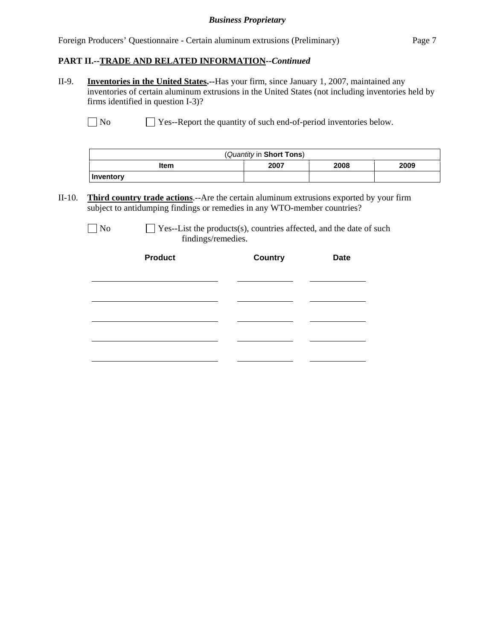|  | Foreign Producers' Questionnaire - Certain aluminum extrusions (Preliminary) | Page 7 |
|--|------------------------------------------------------------------------------|--------|
|  |                                                                              |        |

# **PART II.--TRADE AND RELATED INFORMATION***--Continued*

II-9. **Inventories in the United States.--**Has your firm, since January 1, 2007, maintained any inventories of certain aluminum extrusions in the United States (not including inventories held by firms identified in question I-3)?

No Ses--Report the quantity of such end-of-period inventories below.

| (Quantity in Short Tons)     |  |  |  |  |  |  |  |
|------------------------------|--|--|--|--|--|--|--|
| 2007<br>2009<br>2008<br>Item |  |  |  |  |  |  |  |
| <b>Inventory</b>             |  |  |  |  |  |  |  |

II-10. **Third country trade actions**.--Are the certain aluminum extrusions exported by your firm subject to antidumping findings or remedies in any WTO-member countries?

| ۰. |  |
|----|--|
|----|--|

 $\Box$  Yes--List the products(s), countries affected, and the date of such findings/remedies.

| <b>Product</b> | <b>Country</b> | <b>Date</b> |
|----------------|----------------|-------------|
|                |                |             |
|                |                |             |
|                |                |             |
|                |                |             |
|                |                |             |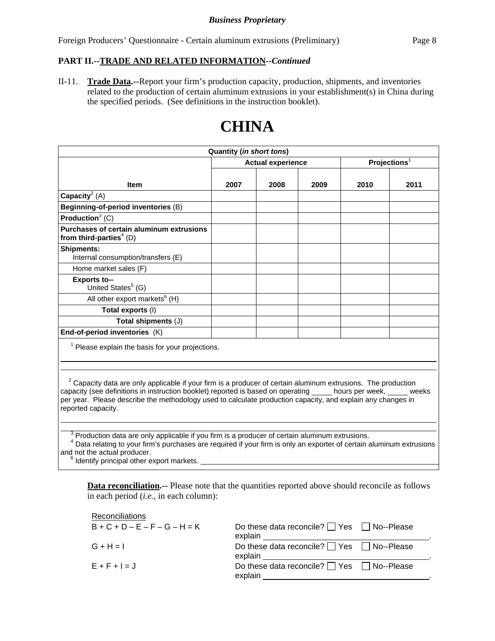Foreign Producers' Questionnaire - Certain aluminum extrusions (Preliminary) Page 8

### **PART II.--TRADE AND RELATED INFORMATION***--Continued*

II-11. **Trade Data.--**Report your firm's production capacity, production, shipments, and inventories related to the production of certain aluminum extrusions in your establishment(s) in China during the specified periods. (See definitions in the instruction booklet).

# **Quantity (***in short tons***) Item**  Actual experience **Actual experience Projections**<sup>1</sup> **2007 2008 2009 2010 2011 Capacity**<sup>2</sup> (A) **Beginning-of-period inventories** (B) **Production**<sup>3</sup> (C) **Purchases of certain aluminum extrusions**  from third-parties<sup>4</sup> (D) **Shipments:** Internal consumption/transfers (E) Home market sales (F) **Exports to--** United States<sup>5</sup> (G) All other export markets<sup>6</sup> (H) **Total exports** (I) **Total shipments** (J) **End-of-period inventories** (K) <sup>1</sup> Please explain the basis for your projections.

**CHINA**

 $2^2$  Capacity data are only applicable if your firm is a producer of certain aluminum extrusions. The production capacity (see definitions in instruction booklet) reported is based on operating \_\_\_\_\_ hours per week, \_\_\_\_\_ weeks per year. Please describe the methodology used to calculate production capacity, and explain any changes in reported capacity.

 $3$  Production data are only applicable if you firm is a producer of certain aluminum extrusions.

<sup>4</sup> Data relating to your firm's purchases are required if your firm is only an exporter of certain aluminum extrusions and not the actual producer. <sup>6</sup>

Identify principal other export markets.

 $\overline{a}$ 

 $\overline{a}$ 

**Data reconciliation.--** Please note that the quantities reported above should reconcile as follows in each period (*i.e.*, in each column):

| Reconciliations                 |                                                                  |  |
|---------------------------------|------------------------------------------------------------------|--|
| $B + C + D - E - F - G - H = K$ | Do these data reconcile? $\Box$ Yes $\Box$ No--Please<br>explain |  |
| $G + H = I$                     | Do these data reconcile? $\Box$ Yes $\Box$ No--Please<br>explain |  |
| $E + F + I = J$                 | Do these data reconcile? $\Box$ Yes $\Box$ No--Please<br>explain |  |